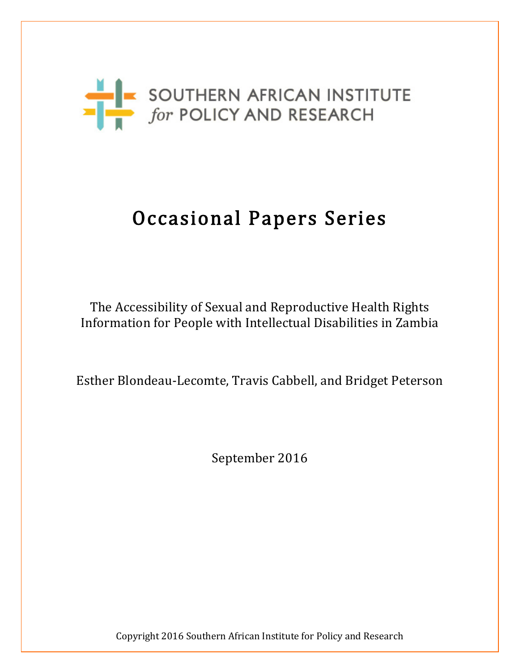

# Occasional Papers Series

The Accessibility of Sexual and Reproductive Health Rights Information for People with Intellectual Disabilities in Zambia

Esther Blondeau-Lecomte, Travis Cabbell, and Bridget Peterson

September 2016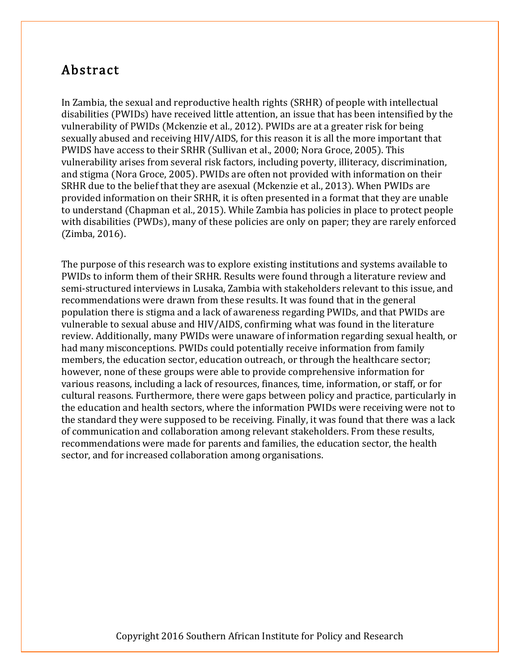# Abstract

In Zambia, the sexual and reproductive health rights (SRHR) of people with intellectual disabilities (PWIDs) have received little attention, an issue that has been intensified by the vulnerability of PWIDs (Mckenzie et al., 2012). PWIDs are at a greater risk for being sexually abused and receiving HIV/AIDS, for this reason it is all the more important that PWIDS have access to their SRHR (Sullivan et al., 2000; Nora Groce, 2005). This vulnerability arises from several risk factors, including poverty, illiteracy, discrimination, and stigma (Nora Groce, 2005). PWIDs are often not provided with information on their SRHR due to the belief that they are asexual (Mckenzie et al., 2013). When PWIDs are provided information on their SRHR, it is often presented in a format that they are unable to understand (Chapman et al., 2015). While Zambia has policies in place to protect people with disabilities (PWDs), many of these policies are only on paper; they are rarely enforced (Zimba, 2016).

The purpose of this research was to explore existing institutions and systems available to PWIDs to inform them of their SRHR. Results were found through a literature review and semi-structured interviews in Lusaka, Zambia with stakeholders relevant to this issue, and recommendations were drawn from these results. It was found that in the general population there is stigma and a lack of awareness regarding PWIDs, and that PWIDs are vulnerable to sexual abuse and HIV/AIDS, confirming what was found in the literature review. Additionally, many PWIDs were unaware of information regarding sexual health, or had many misconceptions. PWIDs could potentially receive information from family members, the education sector, education outreach, or through the healthcare sector; however, none of these groups were able to provide comprehensive information for various reasons, including a lack of resources, finances, time, information, or staff, or for cultural reasons. Furthermore, there were gaps between policy and practice, particularly in the education and health sectors, where the information PWIDs were receiving were not to the standard they were supposed to be receiving. Finally, it was found that there was a lack of communication and collaboration among relevant stakeholders. From these results, recommendations were made for parents and families, the education sector, the health sector, and for increased collaboration among organisations.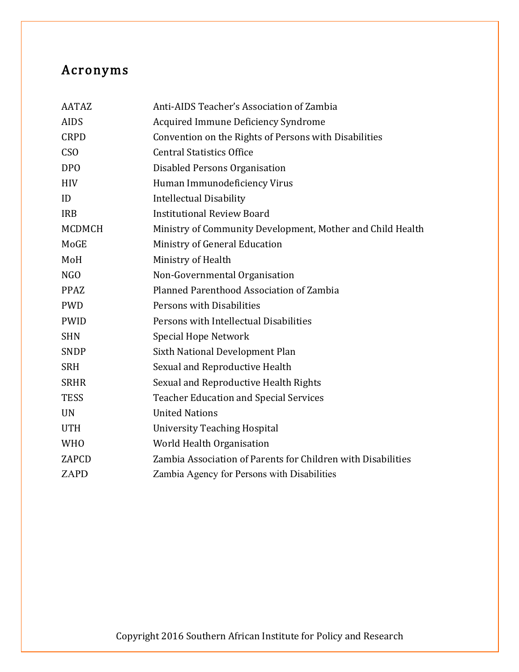# Acronyms

| <b>AATAZ</b>  | Anti-AIDS Teacher's Association of Zambia                    |
|---------------|--------------------------------------------------------------|
| <b>AIDS</b>   | <b>Acquired Immune Deficiency Syndrome</b>                   |
| <b>CRPD</b>   | Convention on the Rights of Persons with Disabilities        |
| <b>CSO</b>    | <b>Central Statistics Office</b>                             |
| <b>DPO</b>    | Disabled Persons Organisation                                |
| <b>HIV</b>    | Human Immunodeficiency Virus                                 |
| ID            | <b>Intellectual Disability</b>                               |
| <b>IRB</b>    | <b>Institutional Review Board</b>                            |
| <b>MCDMCH</b> | Ministry of Community Development, Mother and Child Health   |
| MoGE          | Ministry of General Education                                |
| MoH           | Ministry of Health                                           |
| NGO           | Non-Governmental Organisation                                |
| <b>PPAZ</b>   | Planned Parenthood Association of Zambia                     |
| <b>PWD</b>    | Persons with Disabilities                                    |
| <b>PWID</b>   | Persons with Intellectual Disabilities                       |
| <b>SHN</b>    | Special Hope Network                                         |
| <b>SNDP</b>   | Sixth National Development Plan                              |
| <b>SRH</b>    | Sexual and Reproductive Health                               |
| <b>SRHR</b>   | Sexual and Reproductive Health Rights                        |
| <b>TESS</b>   | <b>Teacher Education and Special Services</b>                |
| <b>UN</b>     | <b>United Nations</b>                                        |
| <b>UTH</b>    | <b>University Teaching Hospital</b>                          |
| <b>WHO</b>    | World Health Organisation                                    |
| ZAPCD         | Zambia Association of Parents for Children with Disabilities |
| <b>ZAPD</b>   | Zambia Agency for Persons with Disabilities                  |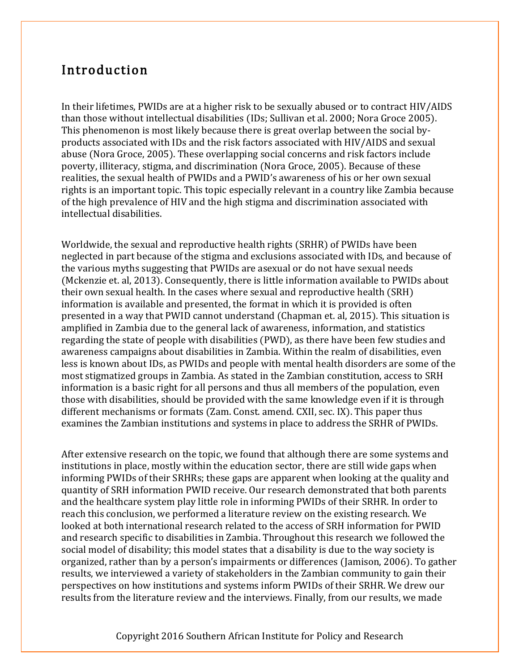# Introduction

In their lifetimes, PWIDs are at a higher risk to be sexually abused or to contract HIV/AIDS than those without intellectual disabilities (IDs; Sullivan et al. 2000; Nora Groce 2005). This phenomenon is most likely because there is great overlap between the social byproducts associated with IDs and the risk factors associated with HIV/AIDS and sexual abuse (Nora Groce, 2005). These overlapping social concerns and risk factors include poverty, illiteracy, stigma, and discrimination (Nora Groce, 2005). Because of these realities, the sexual health of PWIDs and a PWID's awareness of his or her own sexual rights is an important topic. This topic especially relevant in a country like Zambia because of the high prevalence of HIV and the high stigma and discrimination associated with intellectual disabilities.

Worldwide, the sexual and reproductive health rights (SRHR) of PWIDs have been neglected in part because of the stigma and exclusions associated with IDs, and because of the various myths suggesting that PWIDs are asexual or do not have sexual needs (Mckenzie et. al, 2013). Consequently, there is little information available to PWIDs about their own sexual health. In the cases where sexual and reproductive health (SRH) information is available and presented, the format in which it is provided is often presented in a way that PWID cannot understand (Chapman et. al, 2015). This situation is amplified in Zambia due to the general lack of awareness, information, and statistics regarding the state of people with disabilities (PWD), as there have been few studies and awareness campaigns about disabilities in Zambia. Within the realm of disabilities, even less is known about IDs, as PWIDs and people with mental health disorders are some of the most stigmatized groups in Zambia. As stated in the Zambian constitution, access to SRH information is a basic right for all persons and thus all members of the population, even those with disabilities, should be provided with the same knowledge even if it is through different mechanisms or formats (Zam. Const. amend. CXII, sec. IX). This paper thus examines the Zambian institutions and systems in place to address the SRHR of PWIDs.

After extensive research on the topic, we found that although there are some systems and institutions in place, mostly within the education sector, there are still wide gaps when informing PWIDs of their SRHRs; these gaps are apparent when looking at the quality and quantity of SRH information PWID receive. Our research demonstrated that both parents and the healthcare system play little role in informing PWIDs of their SRHR. In order to reach this conclusion, we performed a literature review on the existing research. We looked at both international research related to the access of SRH information for PWID and research specific to disabilities in Zambia. Throughout this research we followed the social model of disability; this model states that a disability is due to the way society is organized, rather than by a person's impairments or differences (Jamison, 2006). To gather results, we interviewed a variety of stakeholders in the Zambian community to gain their perspectives on how institutions and systems inform PWIDs of their SRHR. We drew our results from the literature review and the interviews. Finally, from our results, we made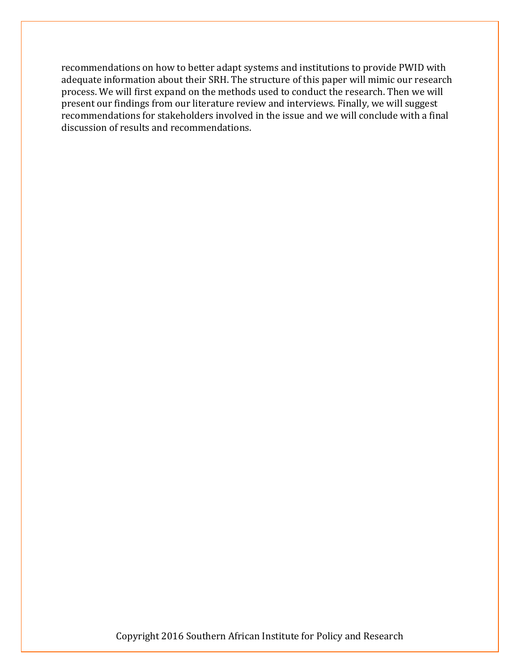recommendations on how to better adapt systems and institutions to provide PWID with adequate information about their SRH. The structure of this paper will mimic our research process. We will first expand on the methods used to conduct the research. Then we will present our findings from our literature review and interviews. Finally, we will suggest recommendations for stakeholders involved in the issue and we will conclude with a final discussion of results and recommendations.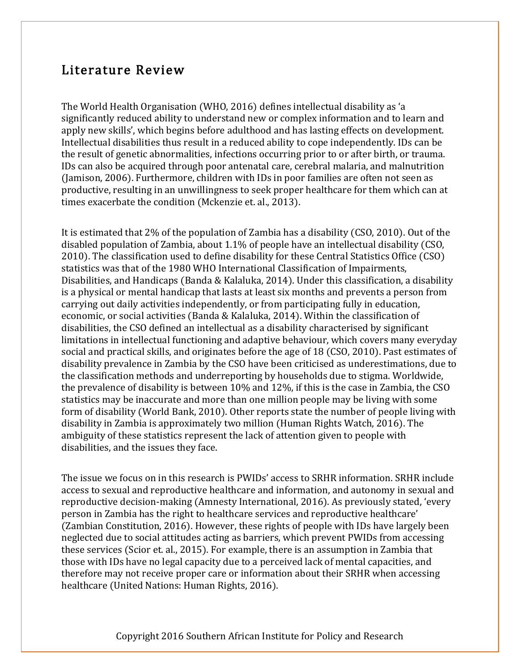# Literature Review

The World Health Organisation (WHO, 2016) defines intellectual disability as 'a significantly reduced ability to understand new or complex information and to learn and apply new skills', which begins before adulthood and has lasting effects on development. Intellectual disabilities thus result in a reduced ability to cope independently. IDs can be the result of genetic abnormalities, infections occurring prior to or after birth, or trauma. IDs can also be acquired through poor antenatal care, cerebral malaria, and malnutrition (Jamison, 2006). Furthermore, children with IDs in poor families are often not seen as productive, resulting in an unwillingness to seek proper healthcare for them which can at times exacerbate the condition (Mckenzie et. al., 2013).

It is estimated that 2% of the population of Zambia has a disability (CSO, 2010). Out of the disabled population of Zambia, about 1.1% of people have an intellectual disability (CSO, 2010). The classification used to define disability for these Central Statistics Office (CSO) statistics was that of the 1980 WHO International Classification of Impairments, Disabilities, and Handicaps (Banda & Kalaluka, 2014). Under this classification, a disability is a physical or mental handicap that lasts at least six months and prevents a person from carrying out daily activities independently, or from participating fully in education, economic, or social activities (Banda & Kalaluka, 2014). Within the classification of disabilities, the CSO defined an intellectual as a disability characterised by significant limitations in intellectual functioning and adaptive behaviour, which covers many everyday social and practical skills, and originates before the age of 18 (CSO, 2010). Past estimates of disability prevalence in Zambia by the CSO have been criticised as underestimations, due to the classification methods and underreporting by households due to stigma. Worldwide, the prevalence of disability is between 10% and 12%, if this is the case in Zambia, the CSO statistics may be inaccurate and more than one million people may be living with some form of disability (World Bank, 2010). Other reports state the number of people living with disability in Zambia is approximately two million (Human Rights Watch, 2016). The ambiguity of these statistics represent the lack of attention given to people with disabilities, and the issues they face.

The issue we focus on in this research is PWIDs' access to SRHR information. SRHR include access to sexual and reproductive healthcare and information, and autonomy in sexual and reproductive decision-making (Amnesty International, 2016). As previously stated, 'every person in Zambia has the right to healthcare services and reproductive healthcare' (Zambian Constitution, 2016). However, these rights of people with IDs have largely been neglected due to social attitudes acting as barriers, which prevent PWIDs from accessing these services (Scior et. al., 2015). For example, there is an assumption in Zambia that those with IDs have no legal capacity due to a perceived lack of mental capacities, and therefore may not receive proper care or information about their SRHR when accessing healthcare (United Nations: Human Rights, 2016).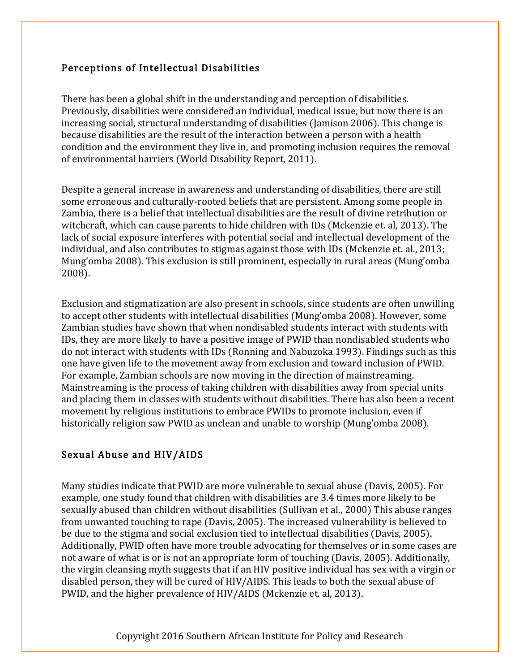### Perceptions of Intellectual Disabilities

There has been a global shift in the understanding and perception of disabilities. Previously, disabilities were considered an individual, medical issue, but now there is an increasing social, structural understanding of disabilities (Jamison 2006). This change is because disabilities are the result of the interaction between a person with a health condition and the environment they live in, and promoting inclusion requires the removal of environmental barriers (World Disability Report, 2011).

Despite a general increase in awareness and understanding of disabilities, there are still some erroneous and culturally-rooted beliefs that are persistent. Among some people in Zambia, there is a belief that intellectual disabilities are the result of divine retribution or witchcraft, which can cause parents to hide children with IDs (Mckenzie et. al, 2013). The lack of social exposure interferes with potential social and intellectual development of the individual, and also contributes to stigmas against those with IDs (Mckenzie et. al., 2013; Mung'omba 2008). This exclusion is still prominent, especially in rural areas (Mung'omba 2008).

Exclusion and stigmatization are also present in schools, since students are often unwilling to accept other students with intellectual disabilities (Mung'omba 2008). However, some Zambian studies have shown that when nondisabled students interact with students with IDs, they are more likely to have a positive image of PWID than nondisabled students who do not interact with students with IDs (Ronning and Nabuzoka 1993). Findings such as this one have given life to the movement away from exclusion and toward inclusion of PWID. For example, Zambian schools are now moving in the direction of mainstreaming. Mainstreaming is the process of taking children with disabilities away from special units and placing them in classes with students without disabilities. There has also been a recent movement by religious institutions to embrace PWIDs to promote inclusion, even if historically religion saw PWID as unclean and unable to worship (Mung'omba 2008).

### Sexual Abuse and HIV/AIDS

Many studies indicate that PWID are more vulnerable to sexual abuse (Davis, 2005). For example, one study found that children with disabilities are 3.4 times more likely to be sexually abused than children without disabilities (Sullivan et al., 2000) This abuse ranges from unwanted touching to rape (Davis, 2005). The increased vulnerability is believed to be due to the stigma and social exclusion tied to intellectual disabilities (Davis, 2005). Additionally, PWID often have more trouble advocating for themselves or in some cases are not aware of what is or is not an appropriate form of touching (Davis, 2005). Additionally, the virgin cleansing myth suggests that if an HIV positive individual has sex with a virgin or disabled person, they will be cured of HIV/AIDS. This leads to both the sexual abuse of PWID, and the higher prevalence of HIV/AIDS (Mckenzie et. al, 2013).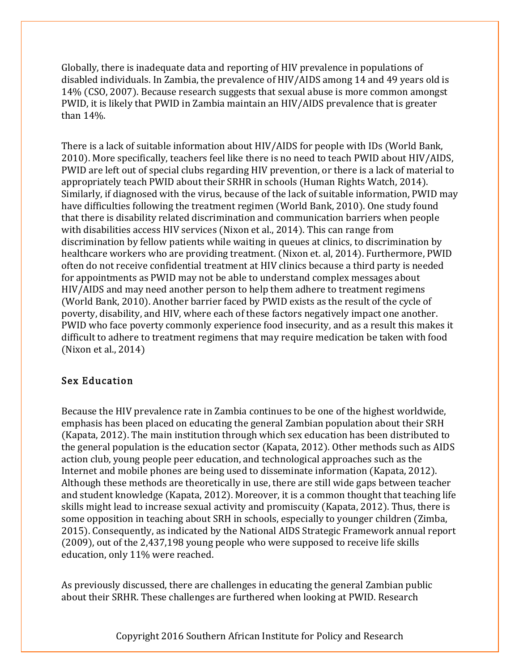Globally, there is inadequate data and reporting of HIV prevalence in populations of disabled individuals. In Zambia, the prevalence of HIV/AIDS among 14 and 49 years old is 14% (CSO, 2007). Because research suggests that sexual abuse is more common amongst PWID, it is likely that PWID in Zambia maintain an HIV/AIDS prevalence that is greater than 14%.

There is a lack of suitable information about HIV/AIDS for people with IDs (World Bank, 2010). More specifically, teachers feel like there is no need to teach PWID about HIV/AIDS, PWID are left out of special clubs regarding HIV prevention, or there is a lack of material to appropriately teach PWID about their SRHR in schools (Human Rights Watch, 2014). Similarly, if diagnosed with the virus, because of the lack of suitable information, PWID may have difficulties following the treatment regimen (World Bank, 2010). One study found that there is disability related discrimination and communication barriers when people with disabilities access HIV services (Nixon et al., 2014). This can range from discrimination by fellow patients while waiting in queues at clinics, to discrimination by healthcare workers who are providing treatment. (Nixon et. al, 2014). Furthermore, PWID often do not receive confidential treatment at HIV clinics because a third party is needed for appointments as PWID may not be able to understand complex messages about HIV/AIDS and may need another person to help them adhere to treatment regimens (World Bank, 2010). Another barrier faced by PWID exists as the result of the cycle of poverty, disability, and HIV, where each of these factors negatively impact one another. PWID who face poverty commonly experience food insecurity, and as a result this makes it difficult to adhere to treatment regimens that may require medication be taken with food (Nixon et al., 2014)

### Sex Education

Because the HIV prevalence rate in Zambia continues to be one of the highest worldwide, emphasis has been placed on educating the general Zambian population about their SRH (Kapata, 2012). The main institution through which sex education has been distributed to the general population is the education sector (Kapata, 2012). Other methods such as AIDS action club, young people peer education, and technological approaches such as the Internet and mobile phones are being used to disseminate information (Kapata, 2012). Although these methods are theoretically in use, there are still wide gaps between teacher and student knowledge (Kapata, 2012). Moreover, it is a common thought that teaching life skills might lead to increase sexual activity and promiscuity (Kapata, 2012). Thus, there is some opposition in teaching about SRH in schools, especially to younger children (Zimba, 2015). Consequently, as indicated by the National AIDS Strategic Framework annual report (2009), out of the 2,437,198 young people who were supposed to receive life skills education, only 11% were reached.

As previously discussed, there are challenges in educating the general Zambian public about their SRHR. These challenges are furthered when looking at PWID. Research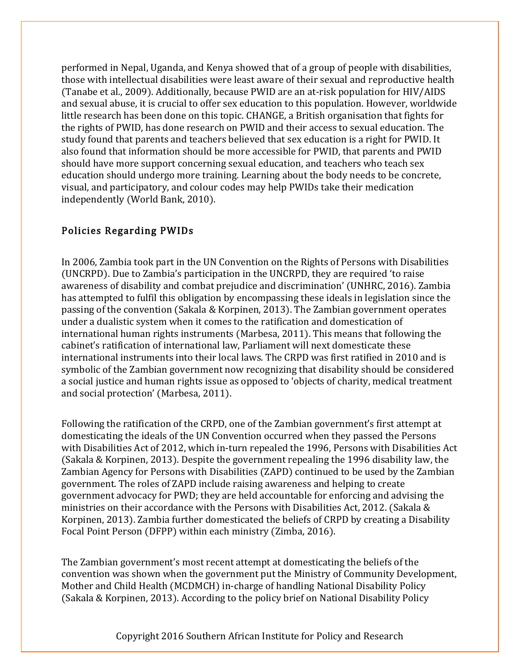performed in Nepal, Uganda, and Kenya showed that of a group of people with disabilities, those with intellectual disabilities were least aware of their sexual and reproductive health (Tanabe et al., 2009). Additionally, because PWID are an at-risk population for HIV/AIDS and sexual abuse, it is crucial to offer sex education to this population. However, worldwide little research has been done on this topic. CHANGE, a British organisation that fights for the rights of PWID, has done research on PWID and their access to sexual education. The study found that parents and teachers believed that sex education is a right for PWID. It also found that information should be more accessible for PWID, that parents and PWID should have more support concerning sexual education, and teachers who teach sex education should undergo more training. Learning about the body needs to be concrete, visual, and participatory, and colour codes may help PWIDs take their medication independently (World Bank, 2010).

### Policies Regarding PWIDs

In 2006, Zambia took part in the UN Convention on the Rights of Persons with Disabilities (UNCRPD). Due to Zambia's participation in the UNCRPD, they are required 'to raise awareness of disability and combat prejudice and discrimination' (UNHRC, 2016). Zambia has attempted to fulfil this obligation by encompassing these ideals in legislation since the passing of the convention (Sakala & Korpinen, 2013). The Zambian government operates under a dualistic system when it comes to the ratification and domestication of international human rights instruments (Marbesa, 2011). This means that following the cabinet's ratification of international law, Parliament will next domesticate these international instruments into their local laws. The CRPD was first ratified in 2010 and is symbolic of the Zambian government now recognizing that disability should be considered a social justice and human rights issue as opposed to 'objects of charity, medical treatment and social protection' (Marbesa, 2011).

Following the ratification of the CRPD, one of the Zambian government's first attempt at domesticating the ideals of the UN Convention occurred when they passed the Persons with Disabilities Act of 2012, which in-turn repealed the 1996, Persons with Disabilities Act (Sakala & Korpinen, 2013). Despite the government repealing the 1996 disability law, the Zambian Agency for Persons with Disabilities (ZAPD) continued to be used by the Zambian government. The roles of ZAPD include raising awareness and helping to create government advocacy for PWD; they are held accountable for enforcing and advising the ministries on their accordance with the Persons with Disabilities Act, 2012. (Sakala & Korpinen, 2013). Zambia further domesticated the beliefs of CRPD by creating a Disability Focal Point Person (DFPP) within each ministry (Zimba, 2016).

The Zambian government's most recent attempt at domesticating the beliefs of the convention was shown when the government put the Ministry of Community Development, Mother and Child Health (MCDMCH) in-charge of handling National Disability Policy (Sakala & Korpinen, 2013). According to the policy brief on National Disability Policy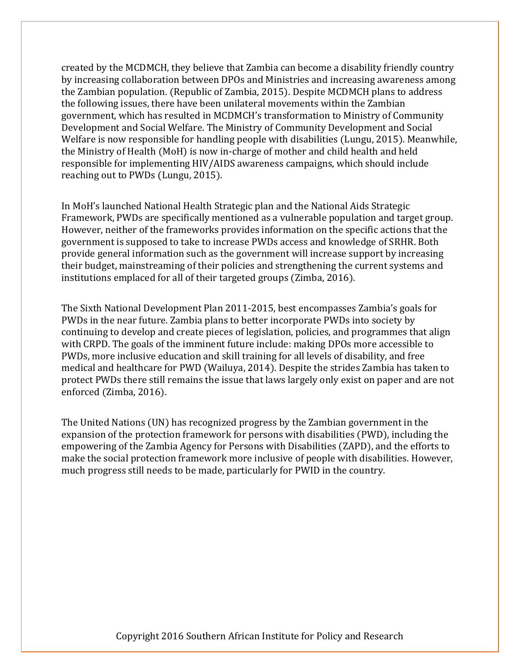created by the MCDMCH, they believe that Zambia can become a disability friendly country by increasing collaboration between DPOs and Ministries and increasing awareness among the Zambian population. (Republic of Zambia, 2015). Despite MCDMCH plans to address the following issues, there have been unilateral movements within the Zambian government, which has resulted in MCDMCH's transformation to Ministry of Community Development and Social Welfare. The Ministry of Community Development and Social Welfare is now responsible for handling people with disabilities (Lungu, 2015). Meanwhile, the Ministry of Health (MoH) is now in-charge of mother and child health and held responsible for implementing HIV/AIDS awareness campaigns, which should include reaching out to PWDs (Lungu, 2015).

In MoH's launched National Health Strategic plan and the National Aids Strategic Framework, PWDs are specifically mentioned as a vulnerable population and target group. However, neither of the frameworks provides information on the specific actions that the government is supposed to take to increase PWDs access and knowledge of SRHR. Both provide general information such as the government will increase support by increasing their budget, mainstreaming of their policies and strengthening the current systems and institutions emplaced for all of their targeted groups (Zimba, 2016).

The Sixth National Development Plan 2011-2015, best encompasses Zambia's goals for PWDs in the near future. Zambia plans to better incorporate PWDs into society by continuing to develop and create pieces of legislation, policies, and programmes that align with CRPD. The goals of the imminent future include: making DPOs more accessible to PWDs, more inclusive education and skill training for all levels of disability, and free medical and healthcare for PWD (Wailuya, 2014). Despite the strides Zambia has taken to protect PWDs there still remains the issue that laws largely only exist on paper and are not enforced (Zimba, 2016).

The United Nations (UN) has recognized progress by the Zambian government in the expansion of the protection framework for persons with disabilities (PWD), including the empowering of the Zambia Agency for Persons with Disabilities (ZAPD), and the efforts to make the social protection framework more inclusive of people with disabilities. However, much progress still needs to be made, particularly for PWID in the country.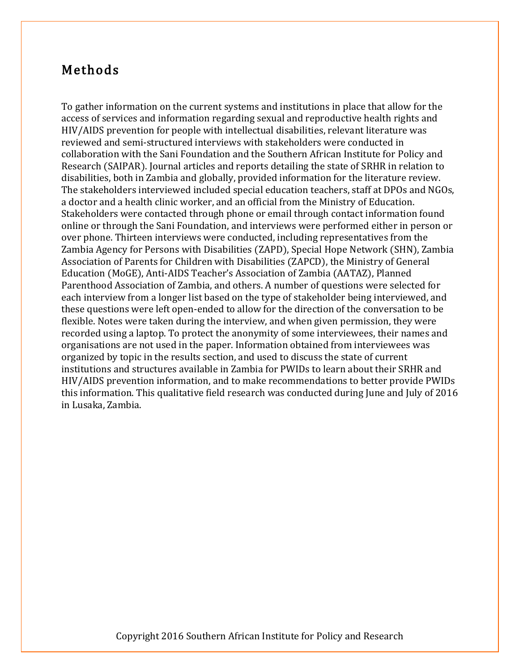# Methods

To gather information on the current systems and institutions in place that allow for the access of services and information regarding sexual and reproductive health rights and HIV/AIDS prevention for people with intellectual disabilities, relevant literature was reviewed and semi-structured interviews with stakeholders were conducted in collaboration with the Sani Foundation and the Southern African Institute for Policy and Research (SAIPAR). Journal articles and reports detailing the state of SRHR in relation to disabilities, both in Zambia and globally, provided information for the literature review. The stakeholders interviewed included special education teachers, staff at DPOs and NGOs, a doctor and a health clinic worker, and an official from the Ministry of Education. Stakeholders were contacted through phone or email through contact information found online or through the Sani Foundation, and interviews were performed either in person or over phone. Thirteen interviews were conducted, including representatives from the Zambia Agency for Persons with Disabilities (ZAPD), Special Hope Network (SHN), Zambia Association of Parents for Children with Disabilities (ZAPCD), the Ministry of General Education (MoGE), Anti-AIDS Teacher's Association of Zambia (AATAZ), Planned Parenthood Association of Zambia, and others. A number of questions were selected for each interview from a longer list based on the type of stakeholder being interviewed, and these questions were left open-ended to allow for the direction of the conversation to be flexible. Notes were taken during the interview, and when given permission, they were recorded using a laptop. To protect the anonymity of some interviewees, their names and organisations are not used in the paper. Information obtained from interviewees was organized by topic in the results section, and used to discuss the state of current institutions and structures available in Zambia for PWIDs to learn about their SRHR and HIV/AIDS prevention information, and to make recommendations to better provide PWIDs this information. This qualitative field research was conducted during June and July of 2016 in Lusaka, Zambia.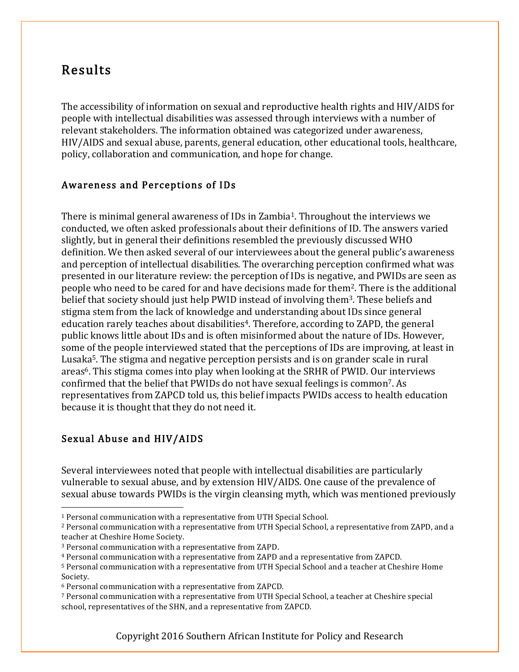# Results

The accessibility of information on sexual and reproductive health rights and HIV/AIDS for people with intellectual disabilities was assessed through interviews with a number of relevant stakeholders. The information obtained was categorized under awareness, HIV/AIDS and sexual abuse, parents, general education, other educational tools, healthcare, policy, collaboration and communication, and hope for change.

### Awareness and Perceptions of IDs

There is minimal general awareness of IDs in Zambia<sup>1</sup>. Throughout the interviews we conducted, we often asked professionals about their definitions of ID. The answers varied slightly, but in general their definitions resembled the previously discussed WHO definition. We then asked several of our interviewees about the general public's awareness and perception of intellectual disabilities. The overarching perception confirmed what was presented in our literature review: the perception of IDs is negative, and PWIDs are seen as people who need to be cared for and have decisions made for them2. There is the additional belief that society should just help PWID instead of involving them<sup>3</sup>. These beliefs and stigma stem from the lack of knowledge and understanding about IDs since general education rarely teaches about disabilities<sup>4</sup>. Therefore, according to ZAPD, the general public knows little about IDs and is often misinformed about the nature of IDs. However, some of the people interviewed stated that the perceptions of IDs are improving, at least in Lusaka5. The stigma and negative perception persists and is on grander scale in rural areas<sup>6</sup>. This stigma comes into play when looking at the SRHR of PWID. Our interviews confirmed that the belief that PWIDs do not have sexual feelings is common7. As representatives from ZAPCD told us, this belief impacts PWIDs access to health education because it is thought that they do not need it.

### Sexual Abuse and HIV/AIDS

Several interviewees noted that people with intellectual disabilities are particularly vulnerable to sexual abuse, and by extension HIV/AIDS. One cause of the prevalence of sexual abuse towards PWIDs is the virgin cleansing myth, which was mentioned previously

 <sup>1</sup> Personal communication with a representative from UTH Special School.

<sup>2</sup> Personal communication with a representative from UTH Special School, a representative from ZAPD, and a teacher at Cheshire Home Society.

<sup>3</sup> Personal communication with a representative from ZAPD.

<sup>4</sup> Personal communication with a representative from ZAPD and a representative from ZAPCD.

<sup>5</sup> Personal communication with a representative from UTH Special School and a teacher at Cheshire Home Society.

<sup>6</sup> Personal communication with a representative from ZAPCD.

<sup>7</sup> Personal communication with a representative from UTH Special School, a teacher at Cheshire special school, representatives of the SHN, and a representative from ZAPCD.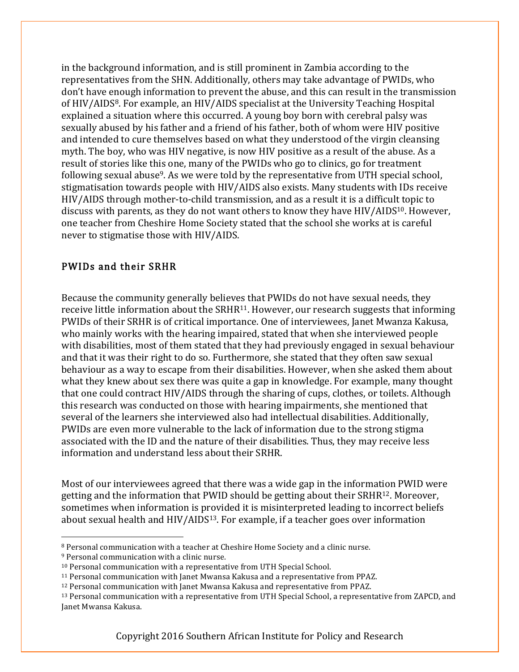in the background information, and is still prominent in Zambia according to the representatives from the SHN. Additionally, others may take advantage of PWIDs, who don't have enough information to prevent the abuse, and this can result in the transmission of HIV/AIDS8. For example, an HIV/AIDS specialist at the University Teaching Hospital explained a situation where this occurred. A young boy born with cerebral palsy was sexually abused by his father and a friend of his father, both of whom were HIV positive and intended to cure themselves based on what they understood of the virgin cleansing myth. The boy, who was HIV negative, is now HIV positive as a result of the abuse. As a result of stories like this one, many of the PWIDs who go to clinics, go for treatment following sexual abuse<sup>9</sup>. As we were told by the representative from UTH special school, stigmatisation towards people with HIV/AIDS also exists. Many students with IDs receive HIV/AIDS through mother-to-child transmission, and as a result it is a difficult topic to discuss with parents, as they do not want others to know they have  $HIV/AlDS^{10}$ . However, one teacher from Cheshire Home Society stated that the school she works at is careful never to stigmatise those with HIV/AIDS.

### PWIDs and their SRHR

Because the community generally believes that PWIDs do not have sexual needs, they receive little information about the SRHR<sup>11</sup>. However, our research suggests that informing PWIDs of their SRHR is of critical importance. One of interviewees, Janet Mwanza Kakusa, who mainly works with the hearing impaired, stated that when she interviewed people with disabilities, most of them stated that they had previously engaged in sexual behaviour and that it was their right to do so. Furthermore, she stated that they often saw sexual behaviour as a way to escape from their disabilities. However, when she asked them about what they knew about sex there was quite a gap in knowledge. For example, many thought that one could contract HIV/AIDS through the sharing of cups, clothes, or toilets. Although this research was conducted on those with hearing impairments, she mentioned that several of the learners she interviewed also had intellectual disabilities. Additionally, PWIDs are even more vulnerable to the lack of information due to the strong stigma associated with the ID and the nature of their disabilities. Thus, they may receive less information and understand less about their SRHR.

Most of our interviewees agreed that there was a wide gap in the information PWID were getting and the information that PWID should be getting about their SRHR12. Moreover, sometimes when information is provided it is misinterpreted leading to incorrect beliefs about sexual health and HIV/AIDS<sup>13</sup>. For example, if a teacher goes over information

 <sup>8</sup> Personal communication with a teacher at Cheshire Home Society and a clinic nurse.

<sup>9</sup> Personal communication with a clinic nurse.

<sup>10</sup> Personal communication with a representative from UTH Special School.

<sup>11</sup> Personal communication with Janet Mwansa Kakusa and a representative from PPAZ.

<sup>12</sup> Personal communication with Janet Mwansa Kakusa and representative from PPAZ.

<sup>13</sup> Personal communication with a representative from UTH Special School, a representative from ZAPCD, and Janet Mwansa Kakusa.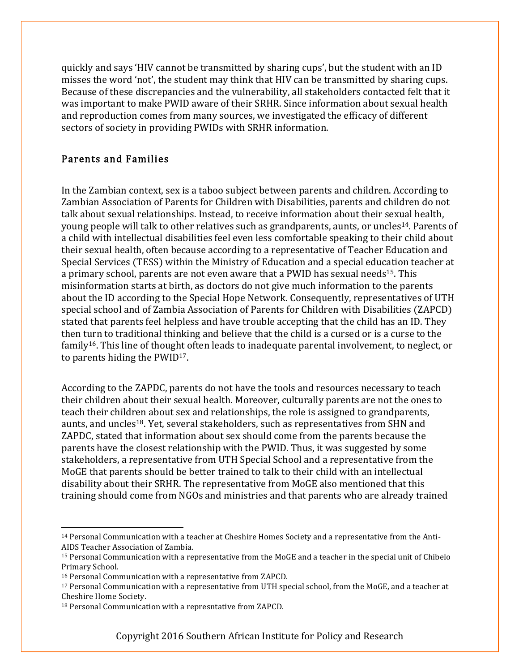quickly and says 'HIV cannot be transmitted by sharing cups', but the student with an ID misses the word 'not', the student may think that HIV can be transmitted by sharing cups. Because of these discrepancies and the vulnerability, all stakeholders contacted felt that it was important to make PWID aware of their SRHR. Since information about sexual health and reproduction comes from many sources, we investigated the efficacy of different sectors of society in providing PWIDs with SRHR information.

### Parents and Families

In the Zambian context, sex is a taboo subject between parents and children. According to Zambian Association of Parents for Children with Disabilities, parents and children do not talk about sexual relationships. Instead, to receive information about their sexual health, young people will talk to other relatives such as grandparents, aunts, or uncles<sup>14</sup>. Parents of a child with intellectual disabilities feel even less comfortable speaking to their child about their sexual health, often because according to a representative of Teacher Education and Special Services (TESS) within the Ministry of Education and a special education teacher at a primary school, parents are not even aware that a PWID has sexual needs<sup>15</sup>. This misinformation starts at birth, as doctors do not give much information to the parents about the ID according to the Special Hope Network. Consequently, representatives of UTH special school and of Zambia Association of Parents for Children with Disabilities (ZAPCD) stated that parents feel helpless and have trouble accepting that the child has an ID. They then turn to traditional thinking and believe that the child is a cursed or is a curse to the family<sup>16</sup>. This line of thought often leads to inadequate parental involvement, to neglect, or to parents hiding the PWID17.

According to the ZAPDC, parents do not have the tools and resources necessary to teach their children about their sexual health. Moreover, culturally parents are not the ones to teach their children about sex and relationships, the role is assigned to grandparents, aunts, and uncles18. Yet, several stakeholders, such as representatives from SHN and ZAPDC, stated that information about sex should come from the parents because the parents have the closest relationship with the PWID. Thus, it was suggested by some stakeholders, a representative from UTH Special School and a representative from the MoGE that parents should be better trained to talk to their child with an intellectual disability about their SRHR. The representative from MoGE also mentioned that this training should come from NGOs and ministries and that parents who are already trained

 <sup>14</sup> Personal Communication with a teacher at Cheshire Homes Society and a representative from the Anti-AIDS Teacher Association of Zambia.

<sup>15</sup> Personal Communication with a representative from the MoGE and a teacher in the special unit of Chibelo Primary School.

<sup>16</sup> Personal Communication with a representative from ZAPCD.

<sup>17</sup> Personal Communication with a representative from UTH special school, from the MoGE, and a teacher at Cheshire Home Society.

<sup>18</sup> Personal Communication with a represntative from ZAPCD.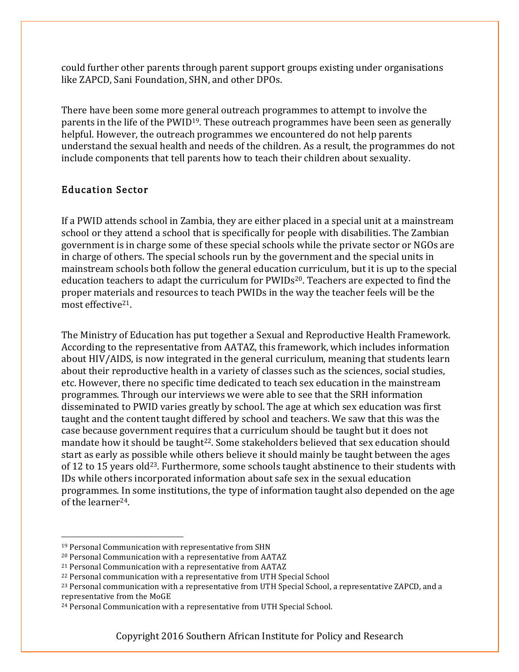could further other parents through parent support groups existing under organisations like ZAPCD, Sani Foundation, SHN, and other DPOs.

There have been some more general outreach programmes to attempt to involve the parents in the life of the PWID19. These outreach programmes have been seen as generally helpful. However, the outreach programmes we encountered do not help parents understand the sexual health and needs of the children. As a result, the programmes do not include components that tell parents how to teach their children about sexuality.

### Education Sector

If a PWID attends school in Zambia, they are either placed in a special unit at a mainstream school or they attend a school that is specifically for people with disabilities. The Zambian government is in charge some of these special schools while the private sector or NGOs are in charge of others. The special schools run by the government and the special units in mainstream schools both follow the general education curriculum, but it is up to the special education teachers to adapt the curriculum for PWIDs<sup>20</sup>. Teachers are expected to find the proper materials and resources to teach PWIDs in the way the teacher feels will be the most effective21.

The Ministry of Education has put together a Sexual and Reproductive Health Framework. According to the representative from AATAZ, this framework, which includes information about HIV/AIDS, is now integrated in the general curriculum, meaning that students learn about their reproductive health in a variety of classes such as the sciences, social studies, etc. However, there no specific time dedicated to teach sex education in the mainstream programmes. Through our interviews we were able to see that the SRH information disseminated to PWID varies greatly by school. The age at which sex education was first taught and the content taught differed by school and teachers. We saw that this was the case because government requires that a curriculum should be taught but it does not mandate how it should be taught<sup>22</sup>. Some stakeholders believed that sex education should start as early as possible while others believe it should mainly be taught between the ages of 12 to 15 years old<sup>23</sup>. Furthermore, some schools taught abstinence to their students with IDs while others incorporated information about safe sex in the sexual education programmes. In some institutions, the type of information taught also depended on the age of the learner24.

 <sup>19</sup> Personal Communication with representative from SHN

<sup>20</sup> Personal Communication with a representative from AATAZ

<sup>21</sup> Personal Communication with a representative from AATAZ

<sup>22</sup> Personal communication with a representative from UTH Special School

<sup>23</sup> Personal communication with a representative from UTH Special School, a representative ZAPCD, and a representative from the MoGE

<sup>24</sup> Personal Communication with a representative from UTH Special School.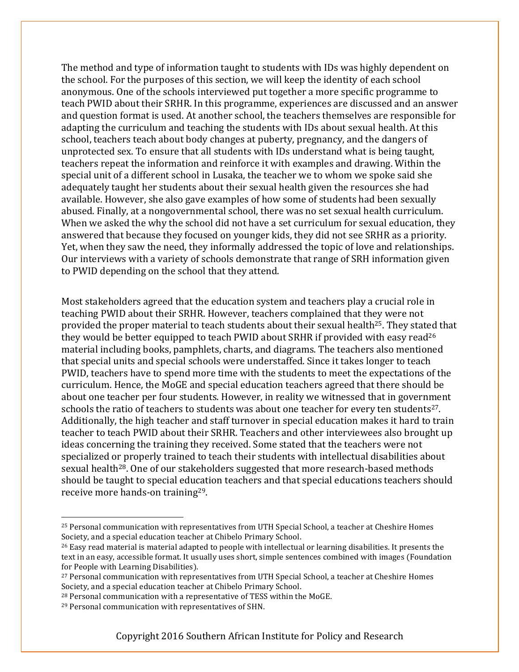The method and type of information taught to students with IDs was highly dependent on the school. For the purposes of this section, we will keep the identity of each school anonymous. One of the schools interviewed put together a more specific programme to teach PWID about their SRHR. In this programme, experiences are discussed and an answer and question format is used. At another school, the teachers themselves are responsible for adapting the curriculum and teaching the students with IDs about sexual health. At this school, teachers teach about body changes at puberty, pregnancy, and the dangers of unprotected sex. To ensure that all students with IDs understand what is being taught, teachers repeat the information and reinforce it with examples and drawing. Within the special unit of a different school in Lusaka, the teacher we to whom we spoke said she adequately taught her students about their sexual health given the resources she had available. However, she also gave examples of how some of students had been sexually abused. Finally, at a nongovernmental school, there was no set sexual health curriculum. When we asked the why the school did not have a set curriculum for sexual education, they answered that because they focused on younger kids, they did not see SRHR as a priority. Yet, when they saw the need, they informally addressed the topic of love and relationships. Our interviews with a variety of schools demonstrate that range of SRH information given to PWID depending on the school that they attend.

Most stakeholders agreed that the education system and teachers play a crucial role in teaching PWID about their SRHR. However, teachers complained that they were not provided the proper material to teach students about their sexual health<sup>25</sup>. They stated that they would be better equipped to teach PWID about SRHR if provided with easy read<sup>26</sup> material including books, pamphlets, charts, and diagrams. The teachers also mentioned that special units and special schools were understaffed. Since it takes longer to teach PWID, teachers have to spend more time with the students to meet the expectations of the curriculum. Hence, the MoGE and special education teachers agreed that there should be about one teacher per four students. However, in reality we witnessed that in government schools the ratio of teachers to students was about one teacher for every ten students<sup>27</sup>. Additionally, the high teacher and staff turnover in special education makes it hard to train teacher to teach PWID about their SRHR. Teachers and other interviewees also brought up ideas concerning the training they received. Some stated that the teachers were not specialized or properly trained to teach their students with intellectual disabilities about sexual health<sup>28</sup>. One of our stakeholders suggested that more research-based methods should be taught to special education teachers and that special educations teachers should receive more hands-on training29.

 <sup>25</sup> Personal communication with representatives from UTH Special School, a teacher at Cheshire Homes Society, and a special education teacher at Chibelo Primary School.

<sup>&</sup>lt;sup>26</sup> Easy read material is material adapted to people with intellectual or learning disabilities. It presents the text in an easy, accessible format. It usually uses short, simple sentences combined with images (Foundation for People with Learning Disabilities).

<sup>&</sup>lt;sup>27</sup> Personal communication with representatives from UTH Special School, a teacher at Cheshire Homes Society, and a special education teacher at Chibelo Primary School.

<sup>28</sup> Personal communication with a representative of TESS within the MoGE.

<sup>29</sup> Personal communication with representatives of SHN.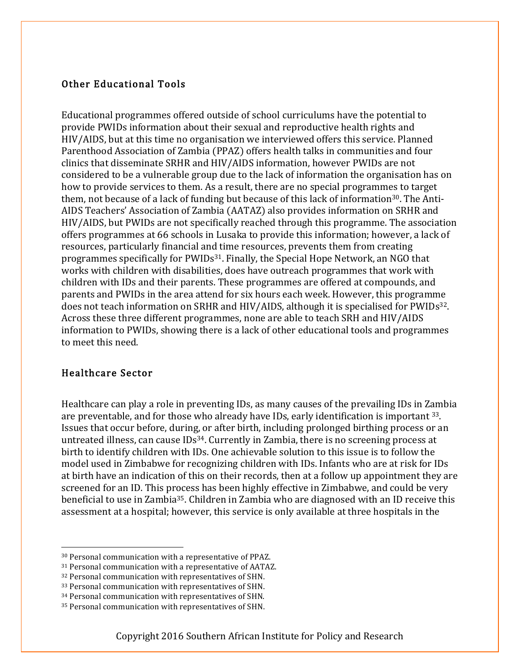### Other Educational Tools

Educational programmes offered outside of school curriculums have the potential to provide PWIDs information about their sexual and reproductive health rights and HIV/AIDS, but at this time no organisation we interviewed offers this service. Planned Parenthood Association of Zambia (PPAZ) offers health talks in communities and four clinics that disseminate SRHR and HIV/AIDS information, however PWIDs are not considered to be a vulnerable group due to the lack of information the organisation has on how to provide services to them. As a result, there are no special programmes to target them, not because of a lack of funding but because of this lack of information<sup>30</sup>. The Anti-AIDS Teachers' Association of Zambia (AATAZ) also provides information on SRHR and HIV/AIDS, but PWIDs are not specifically reached through this programme. The association offers programmes at 66 schools in Lusaka to provide this information; however, a lack of resources, particularly financial and time resources, prevents them from creating programmes specifically for PWIDs31. Finally, the Special Hope Network, an NGO that works with children with disabilities, does have outreach programmes that work with children with IDs and their parents. These programmes are offered at compounds, and parents and PWIDs in the area attend for six hours each week. However, this programme does not teach information on SRHR and HIV/AIDS, although it is specialised for PWIDs<sup>32</sup>. Across these three different programmes, none are able to teach SRH and HIV/AIDS information to PWIDs, showing there is a lack of other educational tools and programmes to meet this need.

### Healthcare Sector

Healthcare can play a role in preventing IDs, as many causes of the prevailing IDs in Zambia are preventable, and for those who already have IDs, early identification is important 33. Issues that occur before, during, or after birth, including prolonged birthing process or an untreated illness, can cause  $\text{IDS}^{34}$ . Currently in Zambia, there is no screening process at birth to identify children with IDs. One achievable solution to this issue is to follow the model used in Zimbabwe for recognizing children with IDs. Infants who are at risk for IDs at birth have an indication of this on their records, then at a follow up appointment they are screened for an ID. This process has been highly effective in Zimbabwe, and could be very beneficial to use in Zambia<sup>35</sup>. Children in Zambia who are diagnosed with an ID receive this assessment at a hospital; however, this service is only available at three hospitals in the

 <sup>30</sup> Personal communication with a representative of PPAZ.

<sup>31</sup> Personal communication with a representative of AATAZ.

<sup>32</sup> Personal communication with representatives of SHN.

<sup>33</sup> Personal communication with representatives of SHN.

<sup>34</sup> Personal communication with representatives of SHN.

<sup>35</sup> Personal communication with representatives of SHN.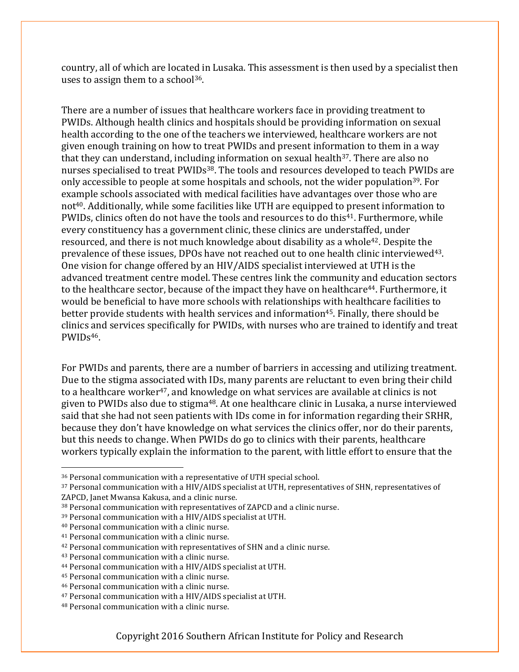country, all of which are located in Lusaka. This assessment is then used by a specialist then uses to assign them to a school<sup>36</sup>.

There are a number of issues that healthcare workers face in providing treatment to PWIDs. Although health clinics and hospitals should be providing information on sexual health according to the one of the teachers we interviewed, healthcare workers are not given enough training on how to treat PWIDs and present information to them in a way that they can understand, including information on sexual health<sup>37</sup>. There are also no nurses specialised to treat PWIDs<sup>38</sup>. The tools and resources developed to teach PWIDs are only accessible to people at some hospitals and schools, not the wider population<sup>39</sup>. For example schools associated with medical facilities have advantages over those who are not<sup>40</sup>. Additionally, while some facilities like UTH are equipped to present information to PWIDs, clinics often do not have the tools and resources to do this<sup>41</sup>. Furthermore, while every constituency has a government clinic, these clinics are understaffed, under resourced, and there is not much knowledge about disability as a whole<sup>42</sup>. Despite the prevalence of these issues, DPOs have not reached out to one health clinic interviewed<sup>43</sup>. One vision for change offered by an HIV/AIDS specialist interviewed at UTH is the advanced treatment centre model. These centres link the community and education sectors to the healthcare sector, because of the impact they have on healthcare<sup>44</sup>. Furthermore, it would be beneficial to have more schools with relationships with healthcare facilities to better provide students with health services and information<sup>45</sup>. Finally, there should be clinics and services specifically for PWIDs, with nurses who are trained to identify and treat PWIDs46.

For PWIDs and parents, there are a number of barriers in accessing and utilizing treatment. Due to the stigma associated with IDs, many parents are reluctant to even bring their child to a healthcare worker<sup>47</sup>, and knowledge on what services are available at clinics is not given to PWIDs also due to stigma<sup>48</sup>. At one healthcare clinic in Lusaka, a nurse interviewed said that she had not seen patients with IDs come in for information regarding their SRHR, because they don't have knowledge on what services the clinics offer, nor do their parents, but this needs to change. When PWIDs do go to clinics with their parents, healthcare workers typically explain the information to the parent, with little effort to ensure that the

 <sup>36</sup> Personal communication with a representative of UTH special school.

<sup>37</sup> Personal communication with a HIV/AIDS specialist at UTH, representatives of SHN, representatives of ZAPCD, Janet Mwansa Kakusa, and a clinic nurse.

<sup>38</sup> Personal communication with representatives of ZAPCD and a clinic nurse.

<sup>39</sup> Personal communication with a HIV/AIDS specialist at UTH.

<sup>40</sup> Personal communication with a clinic nurse.

<sup>41</sup> Personal communication with a clinic nurse.

<sup>42</sup> Personal communication with representatives of SHN and a clinic nurse.

<sup>43</sup> Personal communication with a clinic nurse.

<sup>44</sup> Personal communication with a HIV/AIDS specialist at UTH.

<sup>45</sup> Personal communication with a clinic nurse.

<sup>46</sup> Personal communication with a clinic nurse.

<sup>47</sup> Personal communication with a HIV/AIDS specialist at UTH.

<sup>48</sup> Personal communication with a clinic nurse.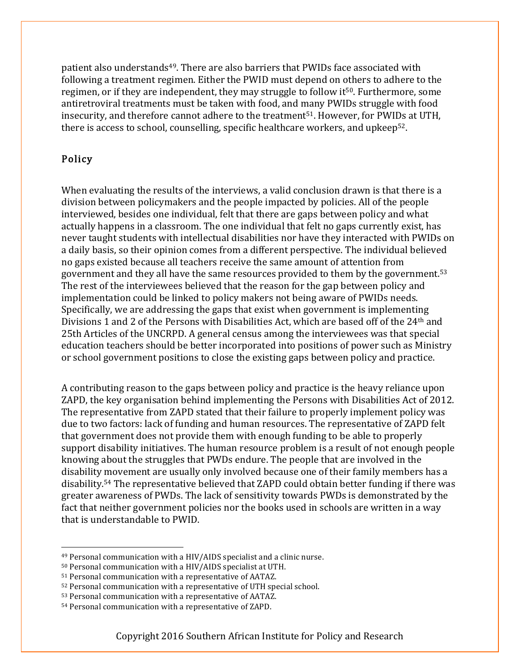patient also understands<sup>49</sup>. There are also barriers that PWIDs face associated with following a treatment regimen. Either the PWID must depend on others to adhere to the regimen, or if they are independent, they may struggle to follow it<sup>50</sup>. Furthermore, some antiretroviral treatments must be taken with food, and many PWIDs struggle with food insecurity, and therefore cannot adhere to the treatment<sup>51</sup>. However, for PWIDs at UTH, there is access to school, counselling, specific healthcare workers, and upkeep52.

### Policy

When evaluating the results of the interviews, a valid conclusion drawn is that there is a division between policymakers and the people impacted by policies. All of the people interviewed, besides one individual, felt that there are gaps between policy and what actually happens in a classroom. The one individual that felt no gaps currently exist, has never taught students with intellectual disabilities nor have they interacted with PWIDs on a daily basis, so their opinion comes from a different perspective. The individual believed no gaps existed because all teachers receive the same amount of attention from government and they all have the same resources provided to them by the government.53 The rest of the interviewees believed that the reason for the gap between policy and implementation could be linked to policy makers not being aware of PWIDs needs. Specifically, we are addressing the gaps that exist when government is implementing Divisions 1 and 2 of the Persons with Disabilities Act, which are based off of the 24<sup>th</sup> and 25th Articles of the UNCRPD. A general census among the interviewees was that special education teachers should be better incorporated into positions of power such as Ministry or school government positions to close the existing gaps between policy and practice.

A contributing reason to the gaps between policy and practice is the heavy reliance upon ZAPD, the key organisation behind implementing the Persons with Disabilities Act of 2012. The representative from ZAPD stated that their failure to properly implement policy was due to two factors: lack of funding and human resources. The representative of ZAPD felt that government does not provide them with enough funding to be able to properly support disability initiatives. The human resource problem is a result of not enough people knowing about the struggles that PWDs endure. The people that are involved in the disability movement are usually only involved because one of their family members has a disability.54 The representative believed that ZAPD could obtain better funding if there was greater awareness of PWDs. The lack of sensitivity towards PWDs is demonstrated by the fact that neither government policies nor the books used in schools are written in a way that is understandable to PWID.

 <sup>49</sup> Personal communication with a HIV/AIDS specialist and a clinic nurse.

<sup>50</sup> Personal communication with a HIV/AIDS specialist at UTH.

<sup>51</sup> Personal communication with a representative of AATAZ.

<sup>52</sup> Personal communication with a representative of UTH special school.

<sup>53</sup> Personal communication with a representative of AATAZ.

<sup>54</sup> Personal communication with a representative of ZAPD.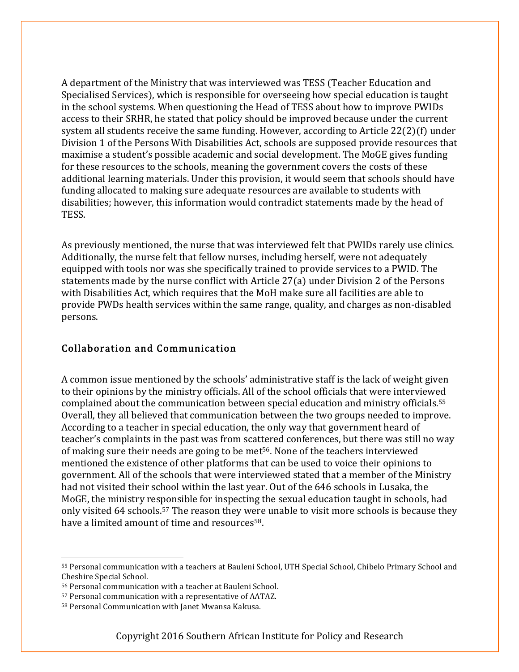A department of the Ministry that was interviewed was TESS (Teacher Education and Specialised Services), which is responsible for overseeing how special education is taught in the school systems. When questioning the Head of TESS about how to improve PWIDs access to their SRHR, he stated that policy should be improved because under the current system all students receive the same funding. However, according to Article 22(2)(f) under Division 1 of the Persons With Disabilities Act, schools are supposed provide resources that maximise a student's possible academic and social development. The MoGE gives funding for these resources to the schools, meaning the government covers the costs of these additional learning materials. Under this provision, it would seem that schools should have funding allocated to making sure adequate resources are available to students with disabilities; however, this information would contradict statements made by the head of TESS.

As previously mentioned, the nurse that was interviewed felt that PWIDs rarely use clinics. Additionally, the nurse felt that fellow nurses, including herself, were not adequately equipped with tools nor was she specifically trained to provide services to a PWID. The statements made by the nurse conflict with Article 27(a) under Division 2 of the Persons with Disabilities Act, which requires that the MoH make sure all facilities are able to provide PWDs health services within the same range, quality, and charges as non-disabled persons.

### Collaboration and Communication

A common issue mentioned by the schools' administrative staff is the lack of weight given to their opinions by the ministry officials. All of the school officials that were interviewed complained about the communication between special education and ministry officials.55 Overall, they all believed that communication between the two groups needed to improve. According to a teacher in special education, the only way that government heard of teacher's complaints in the past was from scattered conferences, but there was still no way of making sure their needs are going to be met56. None of the teachers interviewed mentioned the existence of other platforms that can be used to voice their opinions to government. All of the schools that were interviewed stated that a member of the Ministry had not visited their school within the last year. Out of the 646 schools in Lusaka, the MoGE, the ministry responsible for inspecting the sexual education taught in schools, had only visited 64 schools.<sup>57</sup> The reason they were unable to visit more schools is because they have a limited amount of time and resources<sup>58</sup>.

 <sup>55</sup> Personal communication with a teachers at Bauleni School, UTH Special School, Chibelo Primary School and Cheshire Special School.

<sup>56</sup> Personal communication with a teacher at Bauleni School.

<sup>57</sup> Personal communication with a representative of AATAZ.

<sup>58</sup> Personal Communication with Janet Mwansa Kakusa.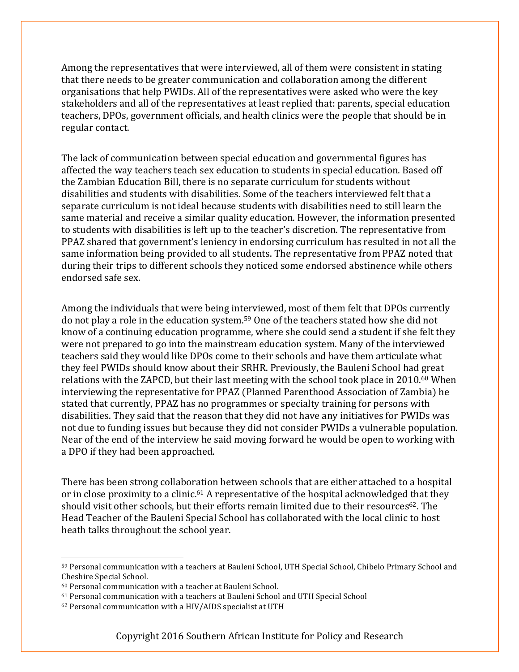Among the representatives that were interviewed, all of them were consistent in stating that there needs to be greater communication and collaboration among the different organisations that help PWIDs. All of the representatives were asked who were the key stakeholders and all of the representatives at least replied that: parents, special education teachers, DPOs, government officials, and health clinics were the people that should be in regular contact.

The lack of communication between special education and governmental figures has affected the way teachers teach sex education to students in special education. Based off the Zambian Education Bill, there is no separate curriculum for students without disabilities and students with disabilities. Some of the teachers interviewed felt that a separate curriculum is not ideal because students with disabilities need to still learn the same material and receive a similar quality education. However, the information presented to students with disabilities is left up to the teacher's discretion. The representative from PPAZ shared that government's leniency in endorsing curriculum has resulted in not all the same information being provided to all students. The representative from PPAZ noted that during their trips to different schools they noticed some endorsed abstinence while others endorsed safe sex.

Among the individuals that were being interviewed, most of them felt that DPOs currently do not play a role in the education system.59 One of the teachers stated how she did not know of a continuing education programme, where she could send a student if she felt they were not prepared to go into the mainstream education system. Many of the interviewed teachers said they would like DPOs come to their schools and have them articulate what they feel PWIDs should know about their SRHR. Previously, the Bauleni School had great relations with the ZAPCD, but their last meeting with the school took place in 2010.<sup>60</sup> When interviewing the representative for PPAZ (Planned Parenthood Association of Zambia) he stated that currently, PPAZ has no programmes or specialty training for persons with disabilities. They said that the reason that they did not have any initiatives for PWIDs was not due to funding issues but because they did not consider PWIDs a vulnerable population. Near of the end of the interview he said moving forward he would be open to working with a DPO if they had been approached.

There has been strong collaboration between schools that are either attached to a hospital or in close proximity to a clinic.<sup>61</sup> A representative of the hospital acknowledged that they should visit other schools, but their efforts remain limited due to their resources<sup>62</sup>. The Head Teacher of the Bauleni Special School has collaborated with the local clinic to host heath talks throughout the school year.

 <sup>59</sup> Personal communication with a teachers at Bauleni School, UTH Special School, Chibelo Primary School and Cheshire Special School.

<sup>60</sup> Personal communication with a teacher at Bauleni School.

<sup>61</sup> Personal communication with a teachers at Bauleni School and UTH Special School

<sup>62</sup> Personal communication with a HIV/AIDS specialist at UTH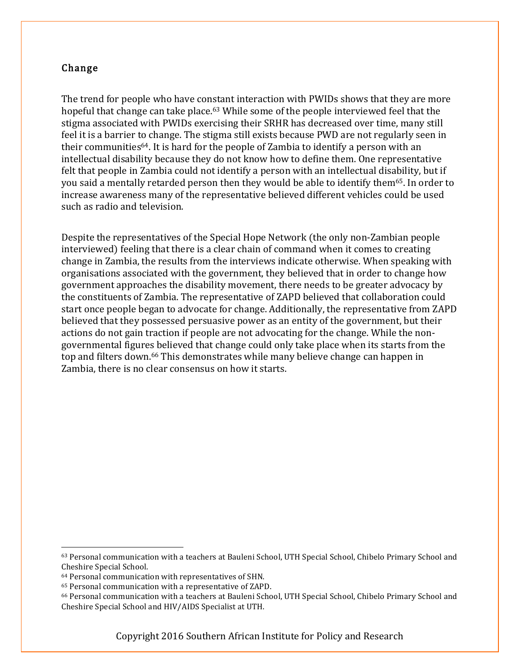### Change

The trend for people who have constant interaction with PWIDs shows that they are more hopeful that change can take place.<sup>63</sup> While some of the people interviewed feel that the stigma associated with PWIDs exercising their SRHR has decreased over time, many still feel it is a barrier to change. The stigma still exists because PWD are not regularly seen in their communities64. It is hard for the people of Zambia to identify a person with an intellectual disability because they do not know how to define them. One representative felt that people in Zambia could not identify a person with an intellectual disability, but if you said a mentally retarded person then they would be able to identify them<sup>65</sup>. In order to increase awareness many of the representative believed different vehicles could be used such as radio and television.

Despite the representatives of the Special Hope Network (the only non-Zambian people interviewed) feeling that there is a clear chain of command when it comes to creating change in Zambia, the results from the interviews indicate otherwise. When speaking with organisations associated with the government, they believed that in order to change how government approaches the disability movement, there needs to be greater advocacy by the constituents of Zambia. The representative of ZAPD believed that collaboration could start once people began to advocate for change. Additionally, the representative from ZAPD believed that they possessed persuasive power as an entity of the government, but their actions do not gain traction if people are not advocating for the change. While the nongovernmental figures believed that change could only take place when its starts from the top and filters down.66 This demonstrates while many believe change can happen in Zambia, there is no clear consensus on how it starts.

 <sup>63</sup> Personal communication with a teachers at Bauleni School, UTH Special School, Chibelo Primary School and Cheshire Special School.

<sup>64</sup> Personal communication with representatives of SHN.

<sup>65</sup> Personal communication with a representative of ZAPD.

<sup>66</sup> Personal communication with a teachers at Bauleni School, UTH Special School, Chibelo Primary School and Cheshire Special School and HIV/AIDS Specialist at UTH.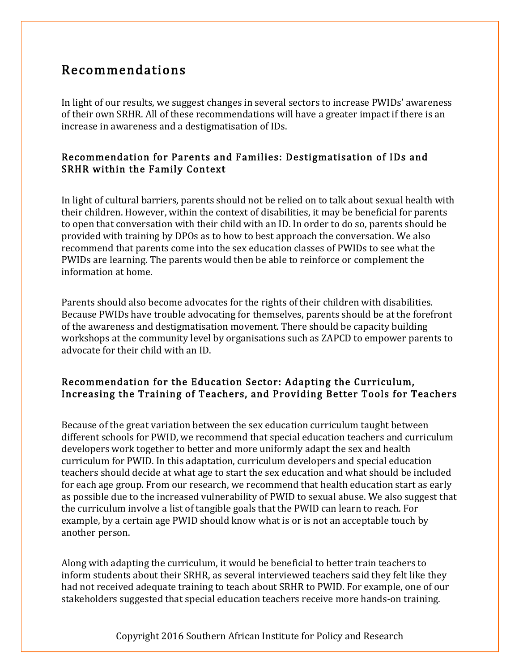# Recommendations

In light of our results, we suggest changes in several sectors to increase PWIDs' awareness of their own SRHR. All of these recommendations will have a greater impact if there is an increase in awareness and a destigmatisation of IDs.

### Recommendation for Parents and Families: Destigmatisation of IDs and SRHR within the Family Context

In light of cultural barriers, parents should not be relied on to talk about sexual health with their children. However, within the context of disabilities, it may be beneficial for parents to open that conversation with their child with an ID. In order to do so, parents should be provided with training by DPOs as to how to best approach the conversation. We also recommend that parents come into the sex education classes of PWIDs to see what the PWIDs are learning. The parents would then be able to reinforce or complement the information at home.

Parents should also become advocates for the rights of their children with disabilities. Because PWIDs have trouble advocating for themselves, parents should be at the forefront of the awareness and destigmatisation movement. There should be capacity building workshops at the community level by organisations such as ZAPCD to empower parents to advocate for their child with an ID.

### Recommendation for the Education Sector: Adapting the Curriculum, Increasing the Training of Teachers, and Providing Better Tools for Teachers

Because of the great variation between the sex education curriculum taught between different schools for PWID, we recommend that special education teachers and curriculum developers work together to better and more uniformly adapt the sex and health curriculum for PWID. In this adaptation, curriculum developers and special education teachers should decide at what age to start the sex education and what should be included for each age group. From our research, we recommend that health education start as early as possible due to the increased vulnerability of PWID to sexual abuse. We also suggest that the curriculum involve a list of tangible goals that the PWID can learn to reach. For example, by a certain age PWID should know what is or is not an acceptable touch by another person.

Along with adapting the curriculum, it would be beneficial to better train teachers to inform students about their SRHR, as several interviewed teachers said they felt like they had not received adequate training to teach about SRHR to PWID. For example, one of our stakeholders suggested that special education teachers receive more hands-on training.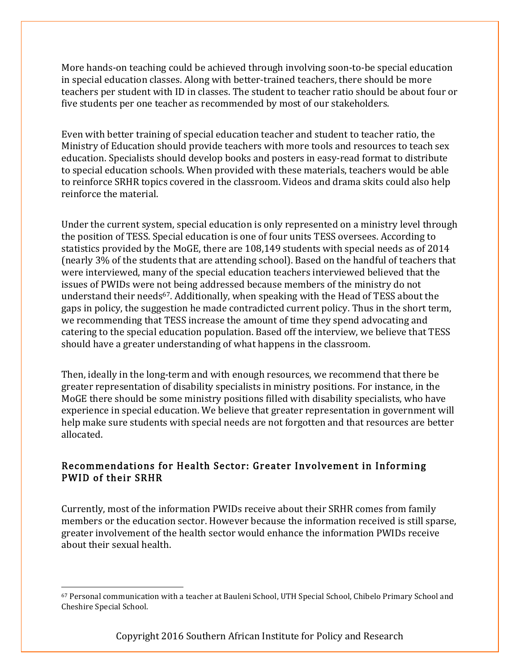More hands-on teaching could be achieved through involving soon-to-be special education in special education classes. Along with better-trained teachers, there should be more teachers per student with ID in classes. The student to teacher ratio should be about four or five students per one teacher as recommended by most of our stakeholders.

Even with better training of special education teacher and student to teacher ratio, the Ministry of Education should provide teachers with more tools and resources to teach sex education. Specialists should develop books and posters in easy-read format to distribute to special education schools. When provided with these materials, teachers would be able to reinforce SRHR topics covered in the classroom. Videos and drama skits could also help reinforce the material.

Under the current system, special education is only represented on a ministry level through the position of TESS. Special education is one of four units TESS oversees. According to statistics provided by the MoGE, there are 108,149 students with special needs as of 2014 (nearly 3% of the students that are attending school). Based on the handful of teachers that were interviewed, many of the special education teachers interviewed believed that the issues of PWIDs were not being addressed because members of the ministry do not understand their needs<sup>67</sup>. Additionally, when speaking with the Head of TESS about the gaps in policy, the suggestion he made contradicted current policy. Thus in the short term, we recommending that TESS increase the amount of time they spend advocating and catering to the special education population. Based off the interview, we believe that TESS should have a greater understanding of what happens in the classroom.

Then, ideally in the long-term and with enough resources, we recommend that there be greater representation of disability specialists in ministry positions. For instance, in the MoGE there should be some ministry positions filled with disability specialists, who have experience in special education. We believe that greater representation in government will help make sure students with special needs are not forgotten and that resources are better allocated.

### Recommendations for Health Sector: Greater Involvement in Informing PWID of their SRHR

Currently, most of the information PWIDs receive about their SRHR comes from family members or the education sector. However because the information received is still sparse, greater involvement of the health sector would enhance the information PWIDs receive about their sexual health.

 <sup>67</sup> Personal communication with a teacher at Bauleni School, UTH Special School, Chibelo Primary School and Cheshire Special School.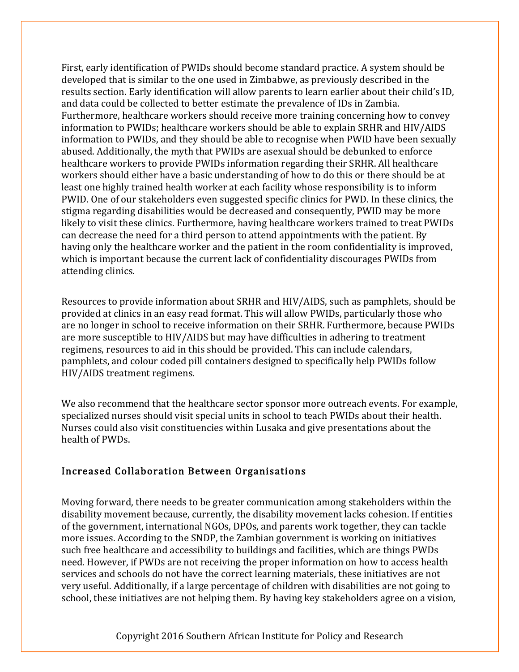First, early identification of PWIDs should become standard practice. A system should be developed that is similar to the one used in Zimbabwe, as previously described in the results section. Early identification will allow parents to learn earlier about their child's ID, and data could be collected to better estimate the prevalence of IDs in Zambia. Furthermore, healthcare workers should receive more training concerning how to convey information to PWIDs; healthcare workers should be able to explain SRHR and HIV/AIDS information to PWIDs, and they should be able to recognise when PWID have been sexually abused. Additionally, the myth that PWIDs are asexual should be debunked to enforce healthcare workers to provide PWIDs information regarding their SRHR. All healthcare workers should either have a basic understanding of how to do this or there should be at least one highly trained health worker at each facility whose responsibility is to inform PWID. One of our stakeholders even suggested specific clinics for PWD. In these clinics, the stigma regarding disabilities would be decreased and consequently, PWID may be more likely to visit these clinics. Furthermore, having healthcare workers trained to treat PWIDs can decrease the need for a third person to attend appointments with the patient. By having only the healthcare worker and the patient in the room confidentiality is improved, which is important because the current lack of confidentiality discourages PWIDs from attending clinics.

Resources to provide information about SRHR and HIV/AIDS, such as pamphlets, should be provided at clinics in an easy read format. This will allow PWIDs, particularly those who are no longer in school to receive information on their SRHR. Furthermore, because PWIDs are more susceptible to HIV/AIDS but may have difficulties in adhering to treatment regimens, resources to aid in this should be provided. This can include calendars, pamphlets, and colour coded pill containers designed to specifically help PWIDs follow HIV/AIDS treatment regimens.

We also recommend that the healthcare sector sponsor more outreach events. For example, specialized nurses should visit special units in school to teach PWIDs about their health. Nurses could also visit constituencies within Lusaka and give presentations about the health of PWDs.

### Increased Collaboration Between Organisations

Moving forward, there needs to be greater communication among stakeholders within the disability movement because, currently, the disability movement lacks cohesion. If entities of the government, international NGOs, DPOs, and parents work together, they can tackle more issues. According to the SNDP, the Zambian government is working on initiatives such free healthcare and accessibility to buildings and facilities, which are things PWDs need. However, if PWDs are not receiving the proper information on how to access health services and schools do not have the correct learning materials, these initiatives are not very useful. Additionally, if a large percentage of children with disabilities are not going to school, these initiatives are not helping them. By having key stakeholders agree on a vision,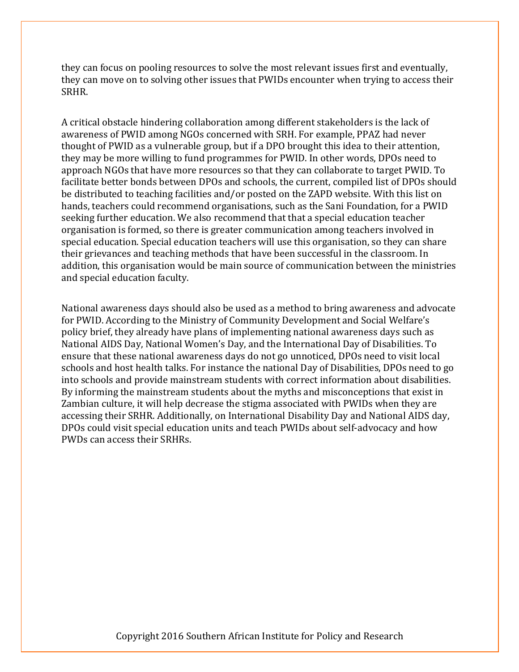they can focus on pooling resources to solve the most relevant issues first and eventually, they can move on to solving other issues that PWIDs encounter when trying to access their SRHR.

A critical obstacle hindering collaboration among different stakeholders is the lack of awareness of PWID among NGOs concerned with SRH. For example, PPAZ had never thought of PWID as a vulnerable group, but if a DPO brought this idea to their attention, they may be more willing to fund programmes for PWID. In other words, DPOs need to approach NGOs that have more resources so that they can collaborate to target PWID. To facilitate better bonds between DPOs and schools, the current, compiled list of DPOs should be distributed to teaching facilities and/or posted on the ZAPD website. With this list on hands, teachers could recommend organisations, such as the Sani Foundation, for a PWID seeking further education. We also recommend that that a special education teacher organisation is formed, so there is greater communication among teachers involved in special education. Special education teachers will use this organisation, so they can share their grievances and teaching methods that have been successful in the classroom. In addition, this organisation would be main source of communication between the ministries and special education faculty.

National awareness days should also be used as a method to bring awareness and advocate for PWID. According to the Ministry of Community Development and Social Welfare's policy brief, they already have plans of implementing national awareness days such as National AIDS Day, National Women's Day, and the International Day of Disabilities. To ensure that these national awareness days do not go unnoticed, DPOs need to visit local schools and host health talks. For instance the national Day of Disabilities, DPOs need to go into schools and provide mainstream students with correct information about disabilities. By informing the mainstream students about the myths and misconceptions that exist in Zambian culture, it will help decrease the stigma associated with PWIDs when they are accessing their SRHR. Additionally, on International Disability Day and National AIDS day, DPOs could visit special education units and teach PWIDs about self-advocacy and how PWDs can access their SRHRs.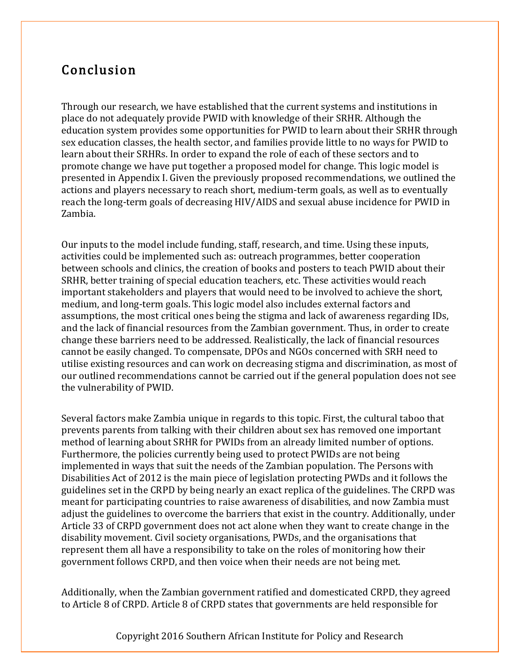# Conclusion

Through our research, we have established that the current systems and institutions in place do not adequately provide PWID with knowledge of their SRHR. Although the education system provides some opportunities for PWID to learn about their SRHR through sex education classes, the health sector, and families provide little to no ways for PWID to learn about their SRHRs. In order to expand the role of each of these sectors and to promote change we have put together a proposed model for change. This logic model is presented in Appendix I. Given the previously proposed recommendations, we outlined the actions and players necessary to reach short, medium-term goals, as well as to eventually reach the long-term goals of decreasing HIV/AIDS and sexual abuse incidence for PWID in Zambia.

Our inputs to the model include funding, staff, research, and time. Using these inputs, activities could be implemented such as: outreach programmes, better cooperation between schools and clinics, the creation of books and posters to teach PWID about their SRHR, better training of special education teachers, etc. These activities would reach important stakeholders and players that would need to be involved to achieve the short, medium, and long-term goals. This logic model also includes external factors and assumptions, the most critical ones being the stigma and lack of awareness regarding IDs, and the lack of financial resources from the Zambian government. Thus, in order to create change these barriers need to be addressed. Realistically, the lack of financial resources cannot be easily changed. To compensate, DPOs and NGOs concerned with SRH need to utilise existing resources and can work on decreasing stigma and discrimination, as most of our outlined recommendations cannot be carried out if the general population does not see the vulnerability of PWID.

Several factors make Zambia unique in regards to this topic. First, the cultural taboo that prevents parents from talking with their children about sex has removed one important method of learning about SRHR for PWIDs from an already limited number of options. Furthermore, the policies currently being used to protect PWIDs are not being implemented in ways that suit the needs of the Zambian population. The Persons with Disabilities Act of 2012 is the main piece of legislation protecting PWDs and it follows the guidelines set in the CRPD by being nearly an exact replica of the guidelines. The CRPD was meant for participating countries to raise awareness of disabilities, and now Zambia must adjust the guidelines to overcome the barriers that exist in the country. Additionally, under Article 33 of CRPD government does not act alone when they want to create change in the disability movement. Civil society organisations, PWDs, and the organisations that represent them all have a responsibility to take on the roles of monitoring how their government follows CRPD, and then voice when their needs are not being met.

Additionally, when the Zambian government ratified and domesticated CRPD, they agreed to Article 8 of CRPD. Article 8 of CRPD states that governments are held responsible for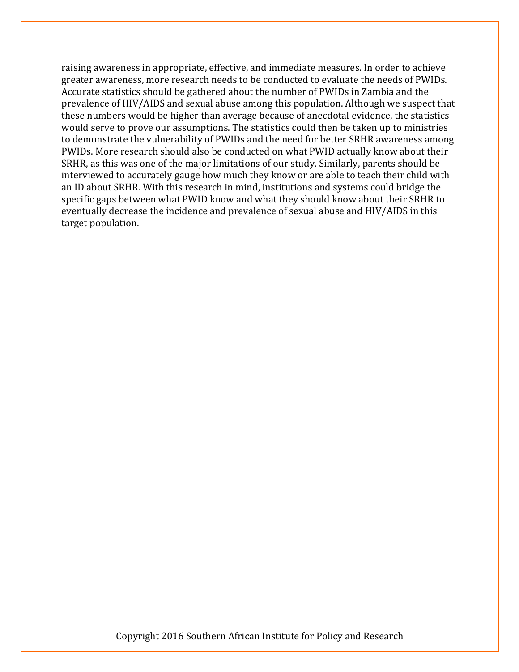raising awareness in appropriate, effective, and immediate measures. In order to achieve greater awareness, more research needs to be conducted to evaluate the needs of PWIDs. Accurate statistics should be gathered about the number of PWIDs in Zambia and the prevalence of HIV/AIDS and sexual abuse among this population. Although we suspect that these numbers would be higher than average because of anecdotal evidence, the statistics would serve to prove our assumptions. The statistics could then be taken up to ministries to demonstrate the vulnerability of PWIDs and the need for better SRHR awareness among PWIDs. More research should also be conducted on what PWID actually know about their SRHR, as this was one of the major limitations of our study. Similarly, parents should be interviewed to accurately gauge how much they know or are able to teach their child with an ID about SRHR. With this research in mind, institutions and systems could bridge the specific gaps between what PWID know and what they should know about their SRHR to eventually decrease the incidence and prevalence of sexual abuse and HIV/AIDS in this target population.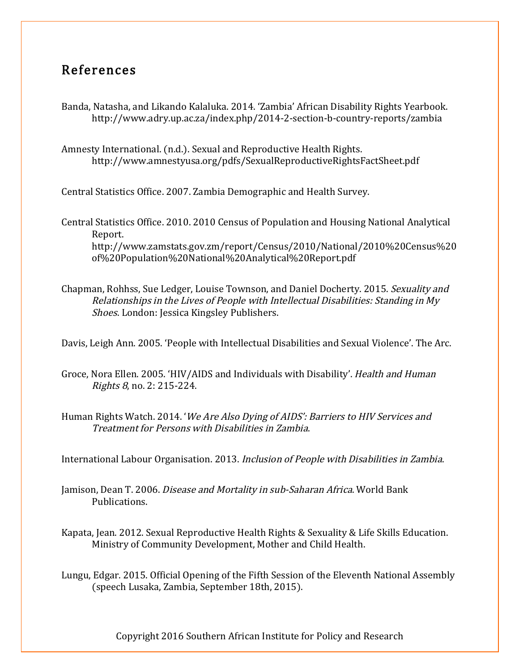## References

Banda, Natasha, and Likando Kalaluka. 2014. 'Zambia' African Disability Rights Yearbook. http://www.adry.up.ac.za/index.php/2014-2-section-b-country-reports/zambia

Amnesty International. (n.d.). Sexual and Reproductive Health Rights. http://www.amnestyusa.org/pdfs/SexualReproductiveRightsFactSheet.pdf

Central Statistics Office. 2007. Zambia Demographic and Health Survey.

Central Statistics Office. 2010. 2010 Census of Population and Housing National Analytical Report. http://www.zamstats.gov.zm/report/Census/2010/National/2010%20Census%20 of%20Population%20National%20Analytical%20Report.pdf

Chapman, Rohhss, Sue Ledger, Louise Townson, and Daniel Docherty. 2015. Sexuality and Relationships in the Lives of People with Intellectual Disabilities: Standing in My Shoes. London: Jessica Kingsley Publishers.

Davis, Leigh Ann. 2005. 'People with Intellectual Disabilities and Sexual Violence'. The Arc.

Groce, Nora Ellen. 2005. 'HIV/AIDS and Individuals with Disability'. Health and Human Rights 8, no. 2: 215-224.

Human Rights Watch. 2014. 'We Are Also Dying of AIDS': Barriers to HIV Services and Treatment for Persons with Disabilities in Zambia.

International Labour Organisation. 2013. Inclusion of People with Disabilities in Zambia.

- Jamison, Dean T. 2006. Disease and Mortality in sub-Saharan Africa. World Bank Publications.
- Kapata, Jean. 2012. Sexual Reproductive Health Rights & Sexuality & Life Skills Education. Ministry of Community Development, Mother and Child Health.
- Lungu, Edgar. 2015. Official Opening of the Fifth Session of the Eleventh National Assembly (speech Lusaka, Zambia, September 18th, 2015).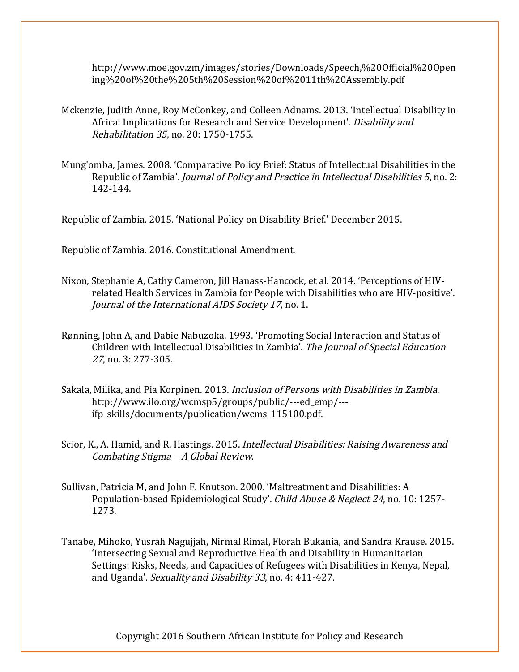http://www.moe.gov.zm/images/stories/Downloads/Speech,%20Official%20Open ing%20of%20the%205th%20Session%20of%2011th%20Assembly.pdf

- Mckenzie, Judith Anne, Roy McConkey, and Colleen Adnams. 2013. 'Intellectual Disability in Africa: Implications for Research and Service Development'. Disability and Rehabilitation 35, no. 20: 1750-1755.
- Mung'omba, James. 2008. 'Comparative Policy Brief: Status of Intellectual Disabilities in the Republic of Zambia'. Journal of Policy and Practice in Intellectual Disabilities 5, no. 2: 142-144.

Republic of Zambia. 2015. 'National Policy on Disability Brief.' December 2015.

Republic of Zambia. 2016. Constitutional Amendment.

- Nixon, Stephanie A, Cathy Cameron, Jill Hanass-Hancock, et al. 2014. 'Perceptions of HIVrelated Health Services in Zambia for People with Disabilities who are HIV-positive'. Journal of the International AIDS Society 17, no. 1.
- Rønning, John A, and Dabie Nabuzoka. 1993. 'Promoting Social Interaction and Status of Children with Intellectual Disabilities in Zambia'. The Journal of Special Education <sup>27</sup>, no. 3: 277-305.
- Sakala, Milika, and Pia Korpinen. 2013. Inclusion of Persons with Disabilities in Zambia. http://www.ilo.org/wcmsp5/groups/public/---ed\_emp/-- ifp\_skills/documents/publication/wcms\_115100.pdf.
- Scior, K., A. Hamid, and R. Hastings. 2015. *Intellectual Disabilities: Raising Awareness and* Combating Stigma—A Global Review.
- Sullivan, Patricia M, and John F. Knutson. 2000. 'Maltreatment and Disabilities: A Population-based Epidemiological Study'. Child Abuse & Neglect 24, no. 10: 1257-1273.
- Tanabe, Mihoko, Yusrah Nagujjah, Nirmal Rimal, Florah Bukania, and Sandra Krause. 2015. 'Intersecting Sexual and Reproductive Health and Disability in Humanitarian Settings: Risks, Needs, and Capacities of Refugees with Disabilities in Kenya, Nepal, and Uganda'. Sexuality and Disability 33, no. 4: 411-427.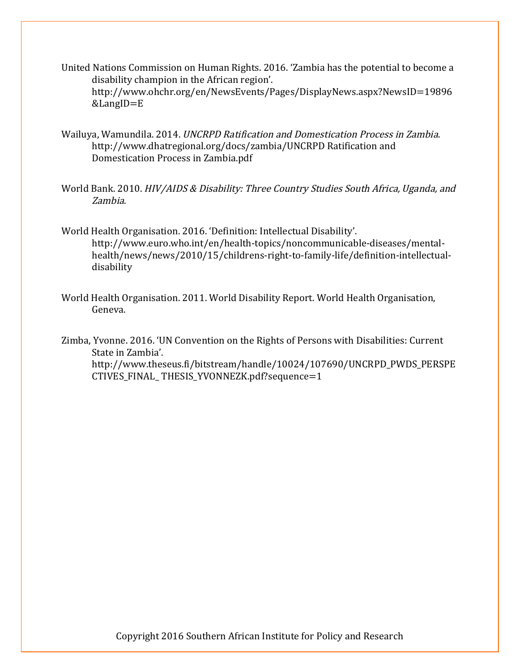- United Nations Commission on Human Rights. 2016. 'Zambia has the potential to become a disability champion in the African region'. http://www.ohchr.org/en/NewsEvents/Pages/DisplayNews.aspx?NewsID=19896 &LangID=E
- Wailuya, Wamundila. 2014. UNCRPD Ratification and Domestication Process in Zambia. http://www.dhatregional.org/docs/zambia/UNCRPD Ratification and Domestication Process in Zambia.pdf
- World Bank. 2010. HIV/AIDS & Disability: Three Country Studies South Africa, Uganda, and Zambia.
- World Health Organisation. 2016. 'Definition: Intellectual Disability'. http://www.euro.who.int/en/health-topics/noncommunicable-diseases/mentalhealth/news/news/2010/15/childrens-right-to-family-life/definition-intellectualdisability
- World Health Organisation. 2011. World Disability Report. World Health Organisation, Geneva.

Zimba, Yvonne. 2016. 'UN Convention on the Rights of Persons with Disabilities: Current State in Zambia'. http://www.theseus.fi/bitstream/handle/10024/107690/UNCRPD\_PWDS\_PERSPE CTIVES\_FINAL\_ THESIS\_YVONNEZK.pdf?sequence=1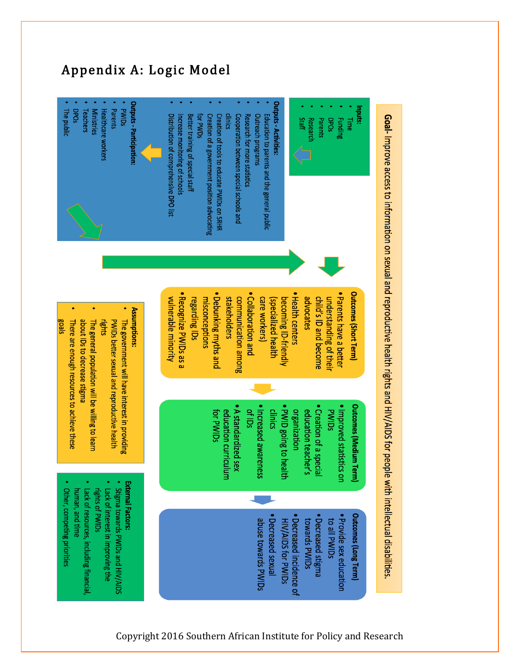

Appendix A: Logic Model

# Goal- Improve access to information on sexual and reproductive health rights and HIV/AIDS for people with intellectual disabilities.